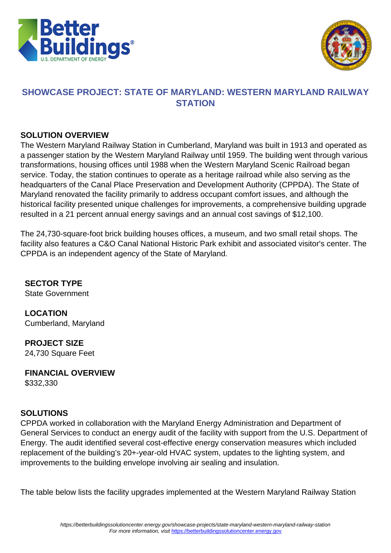



# **SHOWCASE PROJECT: STATE OF MARYLAND: WESTERN MARYLAND RAILWAY STATION**

#### **SOLUTION OVERVIEW**

The Western Maryland Railway Station in Cumberland, Maryland was built in 1913 and operated as a passenger station by the Western Maryland Railway until 1959. The building went through various transformations, housing offices until 1988 when the Western Maryland Scenic Railroad began service. Today, the station continues to operate as a heritage railroad while also serving as the headquarters of the Canal Place Preservation and Development Authority (CPPDA). The State of Maryland renovated the facility primarily to address occupant comfort issues, and although the historical facility presented unique challenges for improvements, a comprehensive building upgrade resulted in a 21 percent annual energy savings and an annual cost savings of \$12,100.

The 24,730-square-foot brick building houses offices, a museum, and two small retail shops. The facility also features a C&O Canal National Historic Park exhibit and associated visitor's center. The CPPDA is an independent agency of the State of Maryland.

**SECTOR TYPE** State Government

**LOCATION** Cumberland, Maryland

**PROJECT SIZE** 24,730 Square Feet

**FINANCIAL OVERVIEW** \$332,330

## **SOLUTIONS**

CPPDA worked in collaboration with the Maryland Energy Administration and Department of General Services to conduct an energy audit of the facility with support from the U.S. Department of Energy. The audit identified several cost-effective energy conservation measures which included replacement of the building's 20+-year-old HVAC system, updates to the lighting system, and improvements to the building envelope involving air sealing and insulation.

The table below lists the facility upgrades implemented at the Western Maryland Railway Station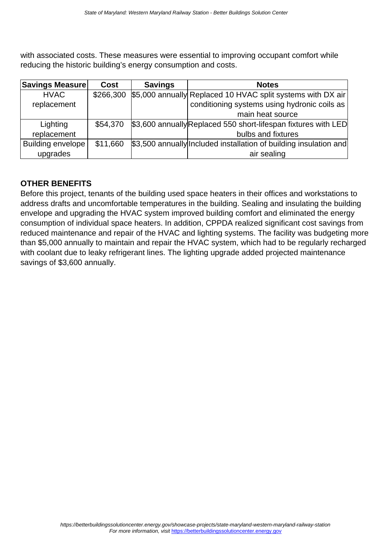with associated costs. These measures were essential to improving occupant comfort while reducing the historic building's energy consumption and costs.

| <b>Savings Measure</b>   | Cost      | <b>Savings</b> | <b>Notes</b>                                                      |
|--------------------------|-----------|----------------|-------------------------------------------------------------------|
| <b>HVAC</b>              | \$266,300 |                | \$5,000 annually Replaced 10 HVAC split systems with DX air       |
| replacement              |           |                | conditioning systems using hydronic coils as                      |
|                          |           |                | main heat source                                                  |
| Lighting                 | \$54,370  |                | \$3,600 annually Replaced 550 short-lifespan fixtures with LED    |
| replacement              |           |                | bulbs and fixtures                                                |
| <b>Building envelope</b> | \$11,660  |                | \$3,500 annually Included installation of building insulation and |
| upgrades                 |           |                | air sealing                                                       |

### **OTHER BENEFITS**

Before this project, tenants of the building used space heaters in their offices and workstations to address drafts and uncomfortable temperatures in the building. Sealing and insulating the building envelope and upgrading the HVAC system improved building comfort and eliminated the energy consumption of individual space heaters. In addition, CPPDA realized significant cost savings from reduced maintenance and repair of the HVAC and lighting systems. The facility was budgeting more than \$5,000 annually to maintain and repair the HVAC system, which had to be regularly recharged with coolant due to leaky refrigerant lines. The lighting upgrade added projected maintenance savings of \$3,600 annually.